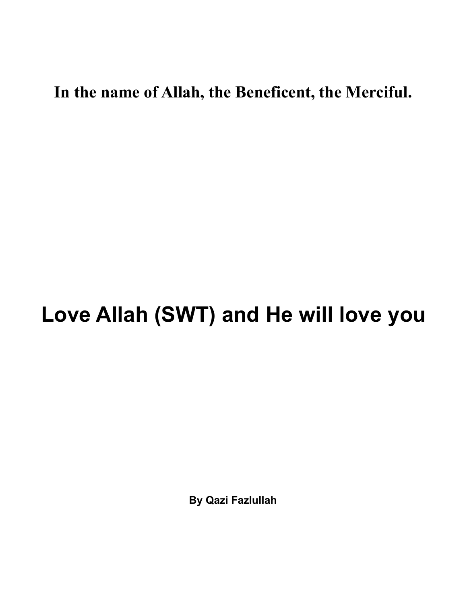## **In the name of Allah, the Beneficent, the Merciful.**

## **Love Allah (SWT) and He will love you**

**By Qazi Fazlullah**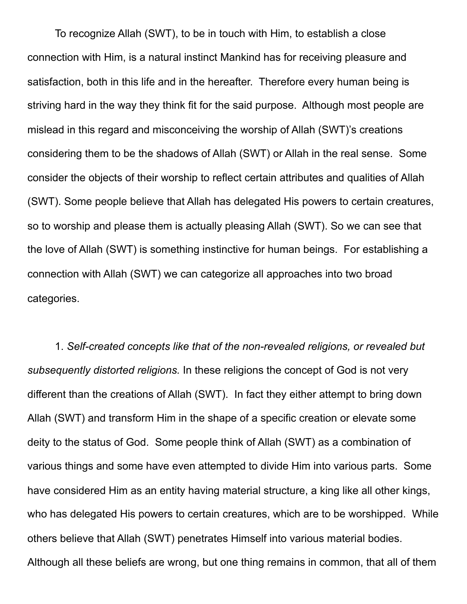To recognize Allah (SWT), to be in touch with Him, to establish a close connection with Him, is a natural instinct Mankind has for receiving pleasure and satisfaction, both in this life and in the hereafter. Therefore every human being is striving hard in the way they think fit for the said purpose. Although most people are mislead in this regard and misconceiving the worship of Allah (SWT)'s creations considering them to be the shadows of Allah (SWT) or Allah in the real sense. Some consider the objects of their worship to reflect certain attributes and qualities of Allah (SWT). Some people believe that Allah has delegated His powers to certain creatures, so to worship and please them is actually pleasing Allah (SWT). So we can see that the love of Allah (SWT) is something instinctive for human beings. For establishing a connection with Allah (SWT) we can categorize all approaches into two broad categories.

1. *Self-created concepts like that of the non-revealed religions, or revealed but subsequently distorted religions.* In these religions the concept of God is not very different than the creations of Allah (SWT). In fact they either attempt to bring down Allah (SWT) and transform Him in the shape of a specific creation or elevate some deity to the status of God. Some people think of Allah (SWT) as a combination of various things and some have even attempted to divide Him into various parts. Some have considered Him as an entity having material structure, a king like all other kings, who has delegated His powers to certain creatures, which are to be worshipped. While others believe that Allah (SWT) penetrates Himself into various material bodies. Although all these beliefs are wrong, but one thing remains in common, that all of them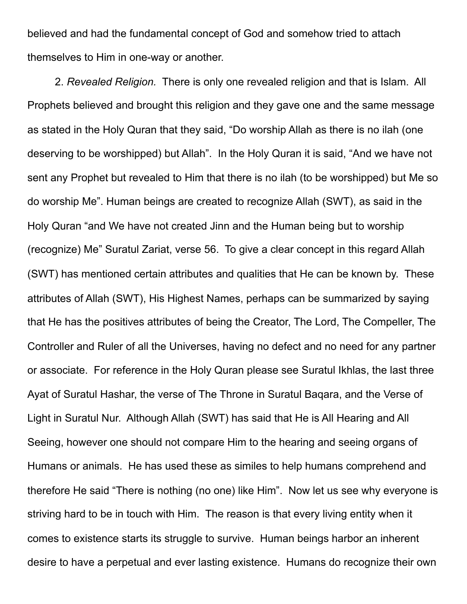believed and had the fundamental concept of God and somehow tried to attach themselves to Him in one-way or another.

2. *Revealed Religion.* There is only one revealed religion and that is Islam. All Prophets believed and brought this religion and they gave one and the same message as stated in the Holy Quran that they said, "Do worship Allah as there is no ilah (one deserving to be worshipped) but Allah". In the Holy Quran it is said, "And we have not sent any Prophet but revealed to Him that there is no ilah (to be worshipped) but Me so do worship Me". Human beings are created to recognize Allah (SWT), as said in the Holy Quran "and We have not created Jinn and the Human being but to worship (recognize) Me" Suratul Zariat, verse 56. To give a clear concept in this regard Allah (SWT) has mentioned certain attributes and qualities that He can be known by. These attributes of Allah (SWT), His Highest Names, perhaps can be summarized by saying that He has the positives attributes of being the Creator, The Lord, The Compeller, The Controller and Ruler of all the Universes, having no defect and no need for any partner or associate. For reference in the Holy Quran please see Suratul Ikhlas, the last three Ayat of Suratul Hashar, the verse of The Throne in Suratul Baqara, and the Verse of Light in Suratul Nur. Although Allah (SWT) has said that He is All Hearing and All Seeing, however one should not compare Him to the hearing and seeing organs of Humans or animals. He has used these as similes to help humans comprehend and therefore He said "There is nothing (no one) like Him". Now let us see why everyone is striving hard to be in touch with Him. The reason is that every living entity when it comes to existence starts its struggle to survive. Human beings harbor an inherent desire to have a perpetual and ever lasting existence. Humans do recognize their own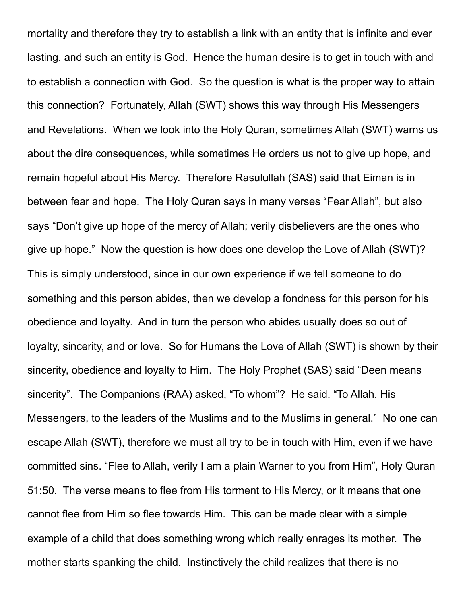mortality and therefore they try to establish a link with an entity that is infinite and ever lasting, and such an entity is God. Hence the human desire is to get in touch with and to establish a connection with God. So the question is what is the proper way to attain this connection? Fortunately, Allah (SWT) shows this way through His Messengers and Revelations. When we look into the Holy Quran, sometimes Allah (SWT) warns us about the dire consequences, while sometimes He orders us not to give up hope, and remain hopeful about His Mercy. Therefore Rasulullah (SAS) said that Eiman is in between fear and hope. The Holy Quran says in many verses "Fear Allah", but also says "Don't give up hope of the mercy of Allah; verily disbelievers are the ones who give up hope." Now the question is how does one develop the Love of Allah (SWT)? This is simply understood, since in our own experience if we tell someone to do something and this person abides, then we develop a fondness for this person for his obedience and loyalty. And in turn the person who abides usually does so out of loyalty, sincerity, and or love. So for Humans the Love of Allah (SWT) is shown by their sincerity, obedience and loyalty to Him. The Holy Prophet (SAS) said "Deen means sincerity". The Companions (RAA) asked, "To whom"? He said. "To Allah, His Messengers, to the leaders of the Muslims and to the Muslims in general." No one can escape Allah (SWT), therefore we must all try to be in touch with Him, even if we have committed sins. "Flee to Allah, verily I am a plain Warner to you from Him", Holy Quran 51:50. The verse means to flee from His torment to His Mercy, or it means that one cannot flee from Him so flee towards Him. This can be made clear with a simple example of a child that does something wrong which really enrages its mother. The mother starts spanking the child. Instinctively the child realizes that there is no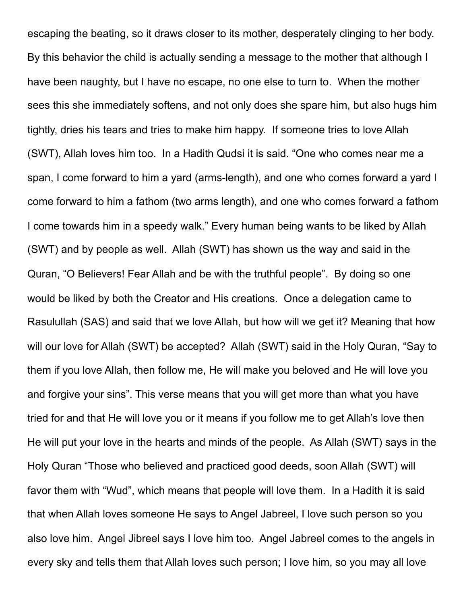escaping the beating, so it draws closer to its mother, desperately clinging to her body. By this behavior the child is actually sending a message to the mother that although I have been naughty, but I have no escape, no one else to turn to. When the mother sees this she immediately softens, and not only does she spare him, but also hugs him tightly, dries his tears and tries to make him happy. If someone tries to love Allah (SWT), Allah loves him too. In a Hadith Qudsi it is said. "One who comes near me a span, I come forward to him a yard (arms-length), and one who comes forward a yard I come forward to him a fathom (two arms length), and one who comes forward a fathom I come towards him in a speedy walk." Every human being wants to be liked by Allah (SWT) and by people as well. Allah (SWT) has shown us the way and said in the Quran, "O Believers! Fear Allah and be with the truthful people". By doing so one would be liked by both the Creator and His creations. Once a delegation came to Rasulullah (SAS) and said that we love Allah, but how will we get it? Meaning that how will our love for Allah (SWT) be accepted? Allah (SWT) said in the Holy Quran, "Say to them if you love Allah, then follow me, He will make you beloved and He will love you and forgive your sins". This verse means that you will get more than what you have tried for and that He will love you or it means if you follow me to get Allah's love then He will put your love in the hearts and minds of the people. As Allah (SWT) says in the Holy Quran "Those who believed and practiced good deeds, soon Allah (SWT) will favor them with "Wud", which means that people will love them. In a Hadith it is said that when Allah loves someone He says to Angel Jabreel, I love such person so you also love him. Angel Jibreel says I love him too. Angel Jabreel comes to the angels in every sky and tells them that Allah loves such person; I love him, so you may all love